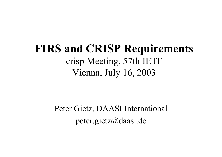#### **FIRS and CRISP Requirements** crisp Meeting, 57th IETF Vienna, July 16, 2003

Peter Gietz, DAASI International peter.gietz@daasi.de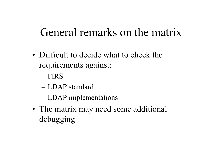### General remarks on the matrix

- Difficult to decide what to check the requirements against:
	- FIRS
	- –LDAP standard
	- LDAP implementations
- •• The matrix may need some additional debugging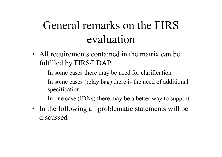# General remarks on the FIRS evaluation

- All requirements contained in the matrix can be fulfilled by FIRS/LDAP
	- In some cases there may be need for clarification
	- In some cases (relay bag) there is the need of additional specification
	- In one case (IDNs) there may be a better way to support
- In the following all problematic statements will be discussed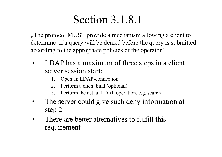### Section 3.1.8.1

"The protocol MUST provide a mechanism allowing a client to determine if a query will be denied before the query is submitted according to the appropriate policies of the operator."

- •LDAP has a maximum of three steps in a client server session start:
	- 1. Open an LDAP-connection
	- 2. Perform a client bind (optional)
	- 3. Perform the actual LDAP operation, e.g. search
- • The server could give such deny information at step 2
- $\bullet$  There are better alternatives to fulfill this requirement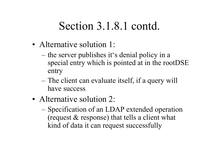### Section 3.1.8.1 contd.

- Alternative solution 1:
	- the server publishes it's denial policy in a special entry which is pointed at in the rootDSE entry
	- The client can evaluate itself, if a query will have success
- Alternative solution 2:
	- Specification of an LDAP extended operation (request & response) that tells a client what kind of data it can request successfully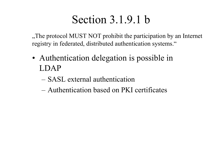#### Section 3.1.9.1 b

"The protocol MUST NOT prohibit the participation by an Internet registry in federated, distributed authentication systems."

- • Authentication delegation is possible in LDAP
	- –SASL external authentication
	- –Authentication based on PKI certificates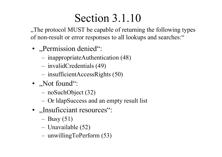### Section 3.1.10

"The protocol MUST be capable of returning the following types of non-result or error responses to all lookups and searches:"

- "Permission denied":
	- inappropriateAuthentication (48)
	- invalidCredentials (49)
	- insufficientAccessRights (50)
- "Not found":
	- –– noSuchObject (32)
	- Or ldapSuccess and an empty result list
- "Insuficciant resources":
	- Busy (51)
	- Unavailable (52)
	- –unwillingToPerform (53)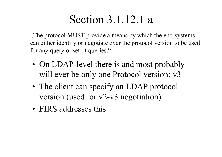#### Section 3.1.12.1 a

,, The protocol MUST provide a means by which the end-systems can either identify or negotiate over the protocol version t o be used for any query or set of queries."

- •• On LDAP-level there is and most probably will ever be only one Protocol version:  $v3$
- •• The client can specify an LDAP protocol version (used for v2-v3 negotiation)
- FIRS addresses this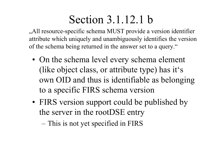### Section 3.1.12.1 b

"All resource-specific schema MUST provide a version identifier attribute which uniquely and unambiguously identifies the version of the schema being returned in the answer set to a query."

- On the schema level every schema element (like object class, or attribute type) has it's own OID and thus is identifiable as belonging to a specific FIRS schema version
- FIRS version support could be published by the server in the rootDSE entry
	- This is not yet specified in FIRS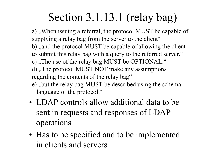### Section 3.1.13.1 (relay bag)

a), When issuing a referral, the protocol MUST be capable of supplying a relay bag from the server to the client" b), and the protocol MUST be capable of allowing the client to submit this relay bag with a query to the referred server." c) ,,The use of the relay bag MUST be OPTIONAL." d) , The protocol MUST NOT make any assumptions regarding the contents of the relay bag"

- e) ,,but the relay bag MUST be described using the schema language of the protocol."
- •• LDAP controls allow additional data to be sent in requests and responses of LDAP operations
- •• Has to be specified and to be implemented in clients and servers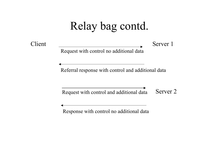### Relay bag contd.

Client Server 1

Request with control no additional data

Referral response with control and additional data

Request with control and additional data Server 2

Response with control no additional data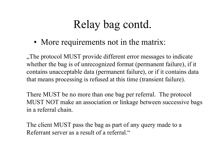### Relay bag contd.

•• More requirements not in the matrix:

"The protocol MUST provide different error messages to indicate whether the bag is of unrecognized format (permanent failure), if it contains unacceptable data (permanent failure), or if it contains data that means processing is refused at this time (transient failure).

There MUST be no more than one bag per referral. The protocol MUST NOT make an association or linkage between successive bags in a referral chain.

The client MUST pass the bag as part of any query made to a Referrant server as a result of a referral."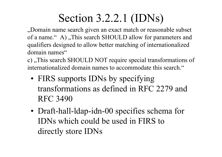### Section 3.2.2.1 (IDNs)

"Domain name search given an exact match or reasonable subset of a name." A), This search SHOULD allow for parameters and qualifiers designed to allow better matching of internationalized domain names"

c), This search SHOULD NOT require special transformations of internationalized domain names to accommodate this search."

- •• FIRS supports IDNs by specifying transformations as defined in RFC 2279 and RFC 3490
- •• Draft-hall-ldap-idn-00 specifies schema for IDNs which could be used in FIRS to directly store IDNs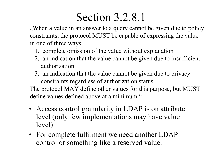#### Section 3.2.8.1

,,When a value in an answer to a query cannot be given due to policy constraints, the protocol MUST be capable o f expressing the value in one of three ways:

- 1. complete omission of the value without explanation
- 2. an indication that the value cannot be given due to insufficient authorization
- 3. an indication that the value cannot be given due to privacy constraints regardless of authorization status

The protocol MAY define other values for this purpose, but MUST define values defined above at a minimum."

- Access control granularity in LDAP is on attribute level (only few implementations may have value level)
- For complete fulfilment we need another LDAP control or something like a reserved value.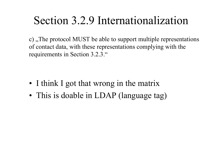### Section 3.2.9 Internationalization

c), The protocol MUST be able to support multiple representations of contact data, with these representations complying with the requirements i n Section 3.2.3."

- •• I think I got that wrong in the matrix
- •• This is doable in LDAP (language tag)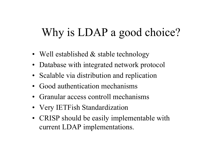# Why is LDAP a good choice?

- Well established & stable technology
- Database with integrated network protocol
- Scalable via distribution and replication
- Good authentication mechanisms
- Granular access controll mechanisms
- Very IETFish Standardization
- CRISP should be easily implementable with current LDAP implementations.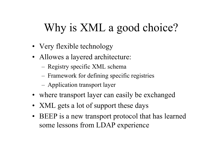# Why is XML a good choice?

- Very flexible technology
- Allowes a layered architecture:
	- Registry specific XML schema
	- Framework for defining specific registries
	- Application transport layer
- where transport layer can easily be exchanged
- XML gets a lot of support these days
- BEEP is a new transport protocol that has learned some lessons from LDAP experience